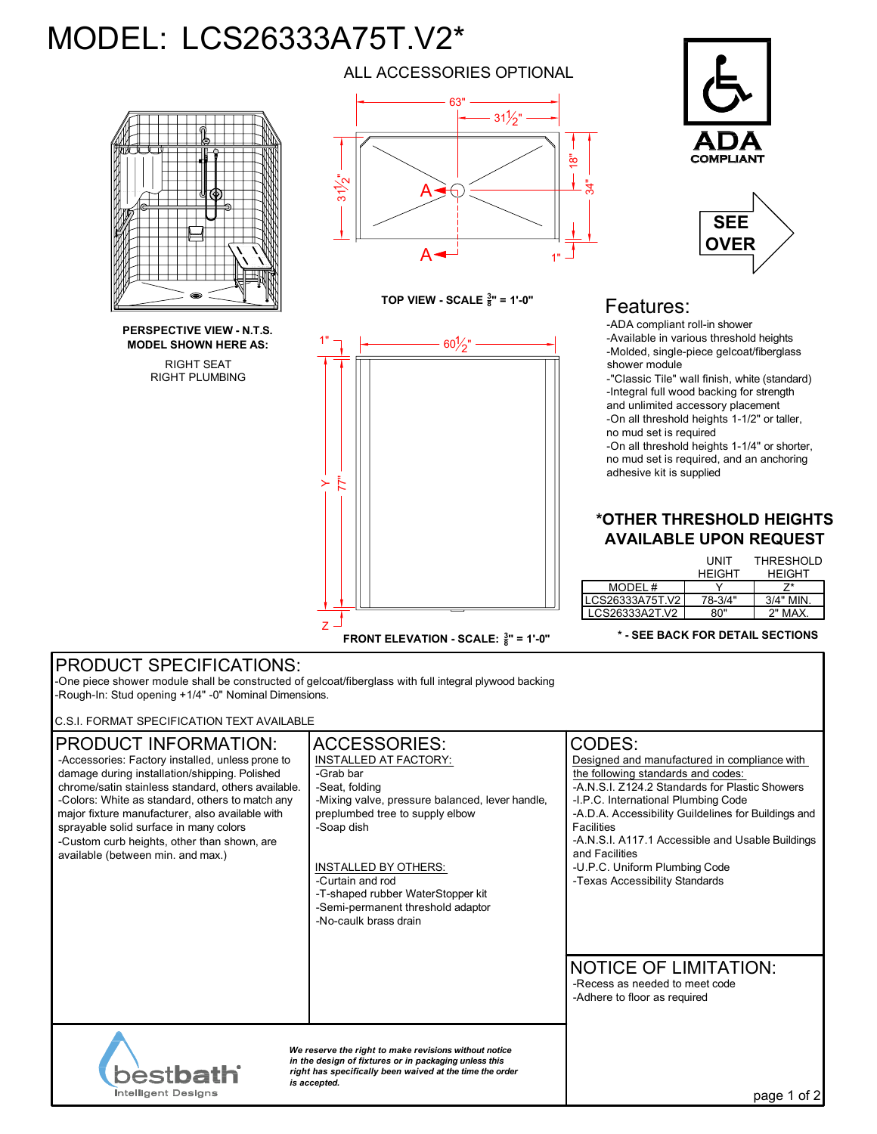# MODEL: LCS26333A75T.V2\*



RIGHT SEAT **PERSPECTIVE VIEW - N.T.S. MODEL SHOWN HERE AS:**

RIGHT PLUMBING

ALL ACCESSORIES OPTIONAL



**TOP VIEW - SCALE**  $\frac{3}{8}$ **" = 1'-0"** 



**FRONT ELEVATION - SCALE:**  $\frac{3}{8}$ " = 1'-0"





## Features:

-ADA compliant roll-in shower -Available in various threshold heights -Molded, single-piece gelcoat/fiberglass shower module

-"Classic Tile" wall finish, white (standard) -Integral full wood backing for strength and unlimited accessory placement -On all threshold heights 1-1/2" or taller, no mud set is required

-On all threshold heights 1-1/4" or shorter, no mud set is required, and an anchoring adhesive kit is supplied

#### **\*OTHER THRESHOLD HEIGHTS AVAILABLE UPON REQUEST**

|                 | UNIT<br><b>HFIGHT</b> | <b>THRESHOLD</b><br><b>HFIGHT</b> |
|-----------------|-----------------------|-----------------------------------|
| MODEL #         |                       |                                   |
| LCS26333A75T.V2 | 78-3/4"               | $3/4"$ MIN.                       |
| LCS26333A2T.V2  | א0"                   | 2" MAX.                           |

#### **\* - SEE BACK FOR DETAIL SECTIONS**

### PRODUCT SPECIFICATIONS:

-One piece shower module shall be constructed of gelcoat/fiberglass with full integral plywood backing -Rough-In: Stud opening +1/4" -0" Nominal Dimensions.

C.S.I. FORMAT SPECIFICATION TEXT AVAILABLE

| <b>PRODUCT INFORMATION:</b><br>-Accessories: Factory installed, unless prone to<br>damage during installation/shipping. Polished<br>chrome/satin stainless standard, others available.<br>-Colors: White as standard, others to match any<br>major fixture manufacturer, also available with<br>sprayable solid surface in many colors<br>-Custom curb heights, other than shown, are<br>available (between min. and max.) | <b>ACCESSORIES:</b><br><b>INSTALLED AT FACTORY:</b><br>-Grab bar<br>-Seat, folding<br>-Mixing valve, pressure balanced, lever handle,<br>preplumbed tree to supply elbow<br>-Soap dish<br><b>INSTALLED BY OTHERS:</b><br>-Curtain and rod<br>-T-shaped rubber WaterStopper kit<br>-Semi-permanent threshold adaptor<br>-No-caulk brass drain | CODES:<br>Designed and manufactured in compliance with<br>the following standards and codes:<br>-A.N.S.I. Z124.2 Standards for Plastic Showers<br>-I.P.C. International Plumbing Code<br>-A.D.A. Accessibility Guildelines for Buildings and<br><b>Facilities</b><br>-A.N.S.I. A117.1 Accessible and Usable Buildings<br>and Facilities<br>-U.P.C. Uniform Plumbing Code<br>-Texas Accessibility Standards |
|----------------------------------------------------------------------------------------------------------------------------------------------------------------------------------------------------------------------------------------------------------------------------------------------------------------------------------------------------------------------------------------------------------------------------|----------------------------------------------------------------------------------------------------------------------------------------------------------------------------------------------------------------------------------------------------------------------------------------------------------------------------------------------|------------------------------------------------------------------------------------------------------------------------------------------------------------------------------------------------------------------------------------------------------------------------------------------------------------------------------------------------------------------------------------------------------------|
|                                                                                                                                                                                                                                                                                                                                                                                                                            |                                                                                                                                                                                                                                                                                                                                              | <b>NOTICE OF LIMITATION:</b><br>-Recess as needed to meet code<br>-Adhere to floor as required                                                                                                                                                                                                                                                                                                             |
| We reserve the right to make revisions without notice<br>in the design of fixtures or in packaging unless this<br><b>bestbath</b><br>right has specifically been waived at the time the order<br>is accepted.<br>Intelligent Designs                                                                                                                                                                                       |                                                                                                                                                                                                                                                                                                                                              | ot 2<br>page ?                                                                                                                                                                                                                                                                                                                                                                                             |